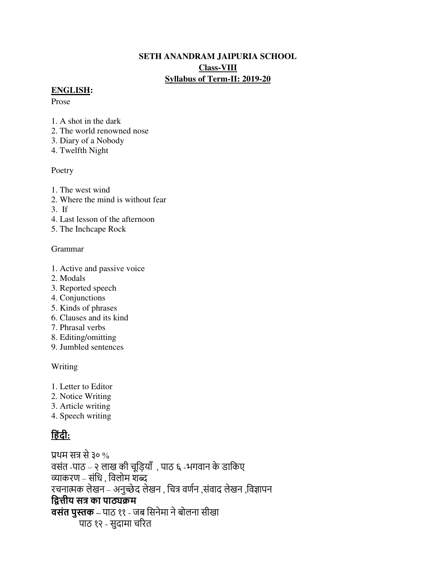# **SETH ANANDRAM JAIPURIA SCHOOL Class-VIII Syllabus of Term-II: 2019-20**

#### **ENGLISH:**

Prose

- 1. A shot in the dark
- 2. The world renowned nose
- 3. Diary of a Nobody
- 4. Twelfth Night

#### Poetry

- 1. The west wind
- 2. Where the mind is without fear
- 3. If
- 4. Last lesson of the afternoon
- 5. The Inchcape Rock

# Grammar

- 1. Active and passive voice
- 2. Modals
- 3. Reported speech
- 4. Conjunctions
- 5. Kinds of phrases
- 6. Clauses and its kind
- 7. Phrasal verbs
- 8. Editing/omitting
- 9. Jumbled sentences

# Writing

- 1. Letter to Editor
- 2. Notice Writing
- 3. Article writing
- 4. Speech writing

# **ह िंदी:**

प्रथम सत्र से३० % वसंत -पाठ – २ लाख की चूड़ियाँ, पाठ ६ -भगवान के डाकिए व्याकरण – संड़ि , ड़वलोम शब्द रचनात्मक लेखन – अनुच्छेद लेखन , चित्र वर्णन ,संवाद लेखन ,विज्ञापन **द्वित्तीय सत्र का पाठ्यक्रम वसंत पुस्तक –** पाठ ११ - जब ड़सनेमा नेबोलना सीखा पाठ १२ - सुदामा चररत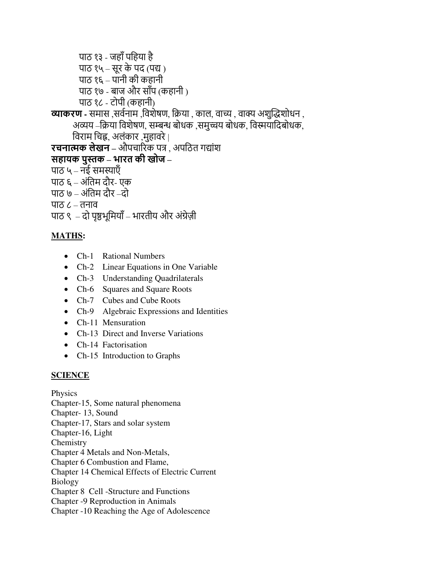पाठ १३ - जहाँ पहिया है पाठ १५ – सूर के पद (पद्य ) पाठ १६ – पानी की कहानी पाठ १७ - बाज और सााँप (कहानी ) पाठ १८ - टोपी (कहानी) **व्याकरण -** समास ,सर्वनाम ,विशेषण, क्रिया , काल, वाच्य , वाक्य अशुद्धिशोधन , अव्यय –क्रिया विशेषण, सम्बन्ध बोधक ,समुच्चय बोधक, विस्मयादिबोधक, ड़वराम ड़चह्न, अलंकार ,मुहावरे | **रचनात्मक लेखन –** औपचाररक पत्र , अपड़ठत गद्यांश **सहायक पुस्तक – भारत की खोज –**  पाठ ५ – नई समस्याएँ पाठ ६ – अंड़तम दौर- एक पाठ ७ – अंड़तम दौर –दो पाठ ८ – तनाव पाठ ९ – दो पृष्ठभूमियाँ – भारतीय और अंग्रेज़ी

# **MATHS:**

- Ch-1 Rational Numbers
- Ch-2 Linear Equations in One Variable
- Ch-3 Understanding Quadrilaterals
- Ch-6 Squares and Square Roots
- Ch-7 Cubes and Cube Roots
- Ch-9 Algebraic Expressions and Identities
- Ch-11 Mensuration
- Ch-13 Direct and Inverse Variations
- Ch-14 Factorisation
- Ch-15 Introduction to Graphs

# **SCIENCE**

Physics Chapter-15, Some natural phenomena Chapter- 13, Sound Chapter-17, Stars and solar system Chapter-16, Light Chemistry Chapter 4 Metals and Non-Metals, Chapter 6 Combustion and Flame, Chapter 14 Chemical Effects of Electric Current Biology Chapter 8 Cell -Structure and Functions Chapter -9 Reproduction in Animals Chapter -10 Reaching the Age of Adolescence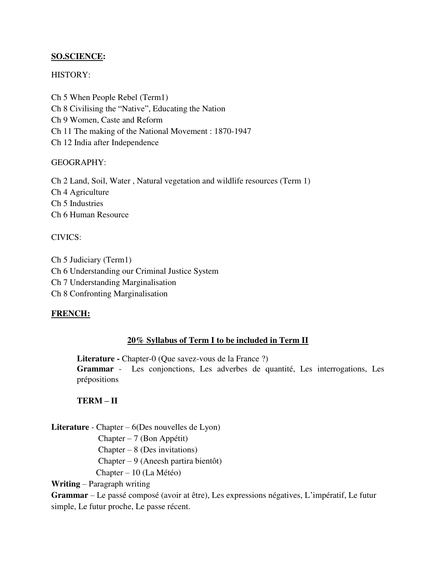# **SO.SCIENCE:**

# HISTORY:

Ch 5 When People Rebel (Term1) Ch 8 Civilising the "Native", Educating the Nation Ch 9 Women, Caste and Reform Ch 11 The making of the National Movement : 1870-1947 Ch 12 India after Independence

#### GEOGRAPHY:

Ch 2 Land, Soil, Water , Natural vegetation and wildlife resources (Term 1) Ch 4 Agriculture Ch 5 Industries Ch 6 Human Resource

# CIVICS:

Ch 5 Judiciary (Term1) Ch 6 Understanding our Criminal Justice System Ch 7 Understanding Marginalisation Ch 8 Confronting Marginalisation

# **FRENCH:**

# **20% Syllabus of Term I to be included in Term II**

Literature - Chapter-0 (Que savez-vous de la France ?) **Grammar** - Les conjonctions, Les adverbes de quantité, Les interrogations, Les prépositions

# **TERM – II**

**Literature** - Chapter – 6(Des nouvelles de Lyon)

Chapter – 7 (Bon Appétit)

 $Chapter - 8$  (Des invitations)

Chapter – 9 (Aneesh partira bientôt)

Chapter – 10 (La Météo)

**Writing** – Paragraph writing

**Grammar** – Le passé composé (avoir at être), Les expressions négatives, L'impératif, Le futur simple, Le futur proche, Le passe récent.